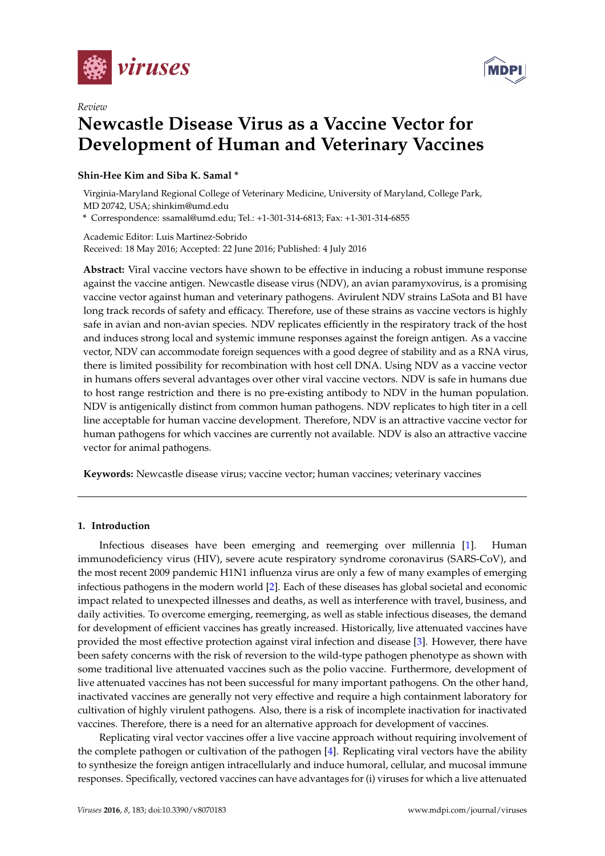

*Review*



# **Newcastle Disease Virus as a Vaccine Vector for Development of Human and Veterinary Vaccines**

### **Shin-Hee Kim and Siba K. Samal \***

Virginia-Maryland Regional College of Veterinary Medicine, University of Maryland, College Park, MD 20742, USA; shinkim@umd.edu

**\*** Correspondence: ssamal@umd.edu; Tel.: +1-301-314-6813; Fax: +1-301-314-6855

Academic Editor: Luis Martinez-Sobrido Received: 18 May 2016; Accepted: 22 June 2016; Published: 4 July 2016

**Abstract:** Viral vaccine vectors have shown to be effective in inducing a robust immune response against the vaccine antigen. Newcastle disease virus (NDV), an avian paramyxovirus, is a promising vaccine vector against human and veterinary pathogens. Avirulent NDV strains LaSota and B1 have long track records of safety and efficacy. Therefore, use of these strains as vaccine vectors is highly safe in avian and non-avian species. NDV replicates efficiently in the respiratory track of the host and induces strong local and systemic immune responses against the foreign antigen. As a vaccine vector, NDV can accommodate foreign sequences with a good degree of stability and as a RNA virus, there is limited possibility for recombination with host cell DNA. Using NDV as a vaccine vector in humans offers several advantages over other viral vaccine vectors. NDV is safe in humans due to host range restriction and there is no pre-existing antibody to NDV in the human population. NDV is antigenically distinct from common human pathogens. NDV replicates to high titer in a cell line acceptable for human vaccine development. Therefore, NDV is an attractive vaccine vector for human pathogens for which vaccines are currently not available. NDV is also an attractive vaccine vector for animal pathogens.

**Keywords:** Newcastle disease virus; vaccine vector; human vaccines; veterinary vaccines

#### **1. Introduction**

Infectious diseases have been emerging and reemerging over millennia [\[1\]](#page-11-0). Human immunodeficiency virus (HIV), severe acute respiratory syndrome coronavirus (SARS-CoV), and the most recent 2009 pandemic H1N1 influenza virus are only a few of many examples of emerging infectious pathogens in the modern world [\[2\]](#page-11-1). Each of these diseases has global societal and economic impact related to unexpected illnesses and deaths, as well as interference with travel, business, and daily activities. To overcome emerging, reemerging, as well as stable infectious diseases, the demand for development of efficient vaccines has greatly increased. Historically, live attenuated vaccines have provided the most effective protection against viral infection and disease [\[3\]](#page-11-2). However, there have been safety concerns with the risk of reversion to the wild-type pathogen phenotype as shown with some traditional live attenuated vaccines such as the polio vaccine. Furthermore, development of live attenuated vaccines has not been successful for many important pathogens. On the other hand, inactivated vaccines are generally not very effective and require a high containment laboratory for cultivation of highly virulent pathogens. Also, there is a risk of incomplete inactivation for inactivated vaccines. Therefore, there is a need for an alternative approach for development of vaccines.

Replicating viral vector vaccines offer a live vaccine approach without requiring involvement of the complete pathogen or cultivation of the pathogen [\[4\]](#page-12-0). Replicating viral vectors have the ability to synthesize the foreign antigen intracellularly and induce humoral, cellular, and mucosal immune responses. Specifically, vectored vaccines can have advantages for (i) viruses for which a live attenuated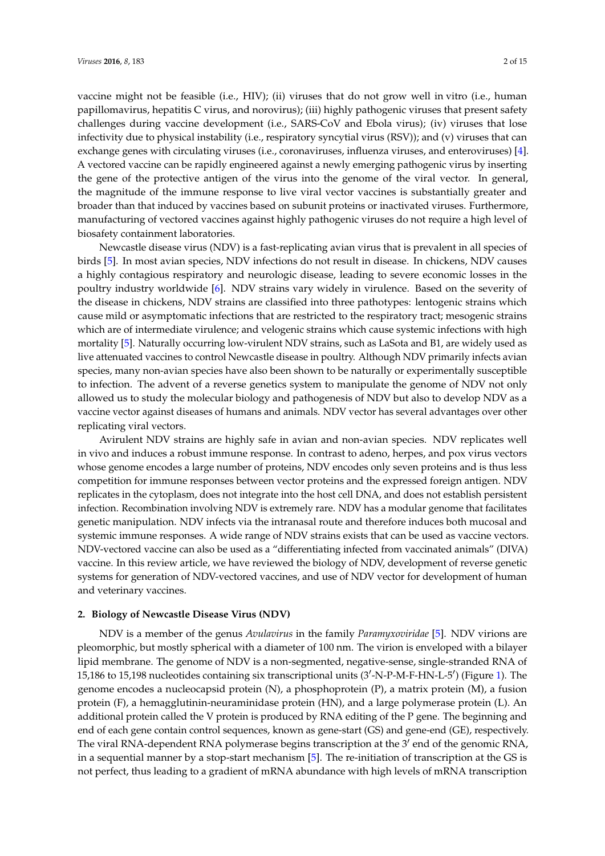vaccine might not be feasible (i.e., HIV); (ii) viruses that do not grow well in vitro (i.e., human papillomavirus, hepatitis C virus, and norovirus); (iii) highly pathogenic viruses that present safety challenges during vaccine development (i.e., SARS-CoV and Ebola virus); (iv) viruses that lose infectivity due to physical instability (i.e., respiratory syncytial virus (RSV)); and (v) viruses that can exchange genes with circulating viruses (i.e., coronaviruses, influenza viruses, and enteroviruses) [\[4\]](#page-12-0). A vectored vaccine can be rapidly engineered against a newly emerging pathogenic virus by inserting the gene of the protective antigen of the virus into the genome of the viral vector. In general, the magnitude of the immune response to live viral vector vaccines is substantially greater and broader than that induced by vaccines based on subunit proteins or inactivated viruses. Furthermore, manufacturing of vectored vaccines against highly pathogenic viruses do not require a high level of biosafety containment laboratories.

Newcastle disease virus (NDV) is a fast-replicating avian virus that is prevalent in all species of birds [\[5\]](#page-12-1). In most avian species, NDV infections do not result in disease. In chickens, NDV causes a highly contagious respiratory and neurologic disease, leading to severe economic losses in the poultry industry worldwide [\[6\]](#page-12-2). NDV strains vary widely in virulence. Based on the severity of the disease in chickens, NDV strains are classified into three pathotypes: lentogenic strains which cause mild or asymptomatic infections that are restricted to the respiratory tract; mesogenic strains which are of intermediate virulence; and velogenic strains which cause systemic infections with high mortality [\[5\]](#page-12-1). Naturally occurring low-virulent NDV strains, such as LaSota and B1, are widely used as live attenuated vaccines to control Newcastle disease in poultry. Although NDV primarily infects avian species, many non-avian species have also been shown to be naturally or experimentally susceptible to infection. The advent of a reverse genetics system to manipulate the genome of NDV not only allowed us to study the molecular biology and pathogenesis of NDV but also to develop NDV as a vaccine vector against diseases of humans and animals. NDV vector has several advantages over other replicating viral vectors.

Avirulent NDV strains are highly safe in avian and non-avian species. NDV replicates well in vivo and induces a robust immune response. In contrast to adeno, herpes, and pox virus vectors whose genome encodes a large number of proteins, NDV encodes only seven proteins and is thus less competition for immune responses between vector proteins and the expressed foreign antigen. NDV replicates in the cytoplasm, does not integrate into the host cell DNA, and does not establish persistent infection. Recombination involving NDV is extremely rare. NDV has a modular genome that facilitates genetic manipulation. NDV infects via the intranasal route and therefore induces both mucosal and systemic immune responses. A wide range of NDV strains exists that can be used as vaccine vectors. NDV-vectored vaccine can also be used as a "differentiating infected from vaccinated animals" (DIVA) vaccine. In this review article, we have reviewed the biology of NDV, development of reverse genetic systems for generation of NDV-vectored vaccines, and use of NDV vector for development of human and veterinary vaccines.

#### **2. Biology of Newcastle Disease Virus (NDV)**

NDV is a member of the genus *Avulavirus* in the family *Paramyxoviridae* [\[5\]](#page-12-1). NDV virions are pleomorphic, but mostly spherical with a diameter of 100 nm. The virion is enveloped with a bilayer lipid membrane. The genome of NDV is a non-segmented, negative-sense, single-stranded RNA of 15,186 to 15,198 nucleotides containing six transcriptional units (3'-N-P-M-F-HN-L-5') (Figure [1\)](#page-2-0). The genome encodes a nucleocapsid protein (N), a phosphoprotein (P), a matrix protein (M), a fusion protein (F), a hemagglutinin-neuraminidase protein (HN), and a large polymerase protein (L). An additional protein called the V protein is produced by RNA editing of the P gene. The beginning and end of each gene contain control sequences, known as gene-start (GS) and gene-end (GE), respectively. The viral RNA-dependent RNA polymerase begins transcription at the  $3'$  end of the genomic RNA, in a sequential manner by a stop-start mechanism [\[5\]](#page-12-1). The re-initiation of transcription at the GS is not perfect, thus leading to a gradient of mRNA abundance with high levels of mRNA transcription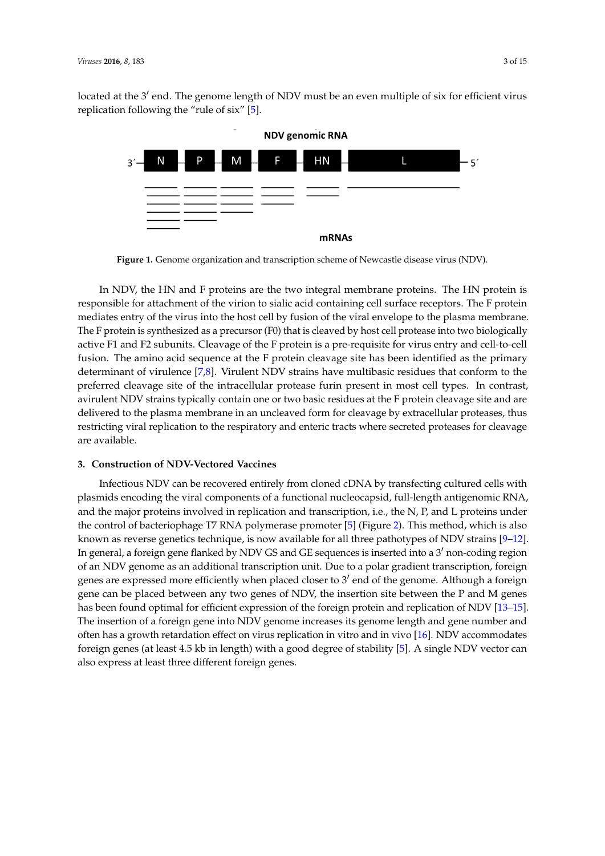<span id="page-2-0"></span>located at the 3' end. The genome length of NDV must be an even multiple of six for efficient virus replication following the "rule of six" [\[5\]](#page-12-1).



**Figure 1.** Genome organization and transcription scheme of Newcastle disease virus (NDV). **Figure 1.** Genome organization and transcription scheme of Newcastle disease virus (NDV).

In NDV, the HN and F proteins are the two integral membrane proteins are the HN proteins. The HN proteins are the HN proteins are the HN proteins are the HN proteins are the HN proteins. The HN proteins are the HN protein In NDV, the HN and F proteins are the two integral membrane proteins. The HN protein is responsible for attachment of the virion to sialic acid containing cell surface receptors. The F protein mediates entry of the virus into the host cell by fusion of the viral envelope to the plasma membrane.<br>The contract of the virus into the host cell by fusion of the viral envelope to the plasma membrane. The F protein is synthesized as a precursor (F0) that is cleaved by host cell protease into two biologically  $\Gamma$ active F1 and F2 subunits. Cleavage of the F protein is a pre-requisite for virus entry and cell-to-cell<br>Contribution in the cell of the F protein is a pre-requisite for virus entry and cell-to-cell fusion. The amino acid sequence at the F protein cleavage site has been identified as the primary<br>has the conformation of  $\overline{R}$ <sup>31</sup>. Virule at NDV strains has the primary determinant of virulence [\[7](#page-12-3)[,8\]](#page-12-4). Virulent NDV strains have multibasic residues that conform to the preferred cleavage site of the intracellular protease furin present in most cell types. In contrast,<br> avirulent NDV strains typically contain one or two basic residues at the F protein cleavage site and are delivered to the plasma membrane in an uncleaved form for cleavage by extracellular proteases, thus restricting viral replication to the respiratory and enteric tracts where secreted proteases for cleavage are available.

## **3. Construction of NDV‐Vectored Vaccines 3. Construction of NDV-Vectored Vaccines**

Infectious NDV can be recovered entirely from cloned cDNA by transfecting cultured cells with Infectious NDV can be recovered entirely from cloned cDNA by transfecting cultured cells with plasmids encoding the viral components of a functional nucleocapsid, full‐length antigenomic RNA, plasmids encoding the viral components of a functional nucleocapsid, full-length antigenomic RNA, and the major proteins involved in replication and transcription, i.e. the N, P, and L proteins under and the major proteins involved in replication and transcription, i.e., the N, P, and L proteins under the control of bacteriophage T7 RNA polymerase promoter [5] (Figure 2). This method, which is also the control of bacteriophage T7 RNA polymerase promoter [\[5\]](#page-12-1) (Figure [2\)](#page-3-0). This method, which is also known as reverse genetics technique, is now available for all three pathotypes of NDV strains [9–12]. known as reverse genetics technique, is now available for all three pathotypes of NDV strains [\[9–](#page-12-5)[12\]](#page-12-6). In general, a foreign gene flanked by NDV GS and GE sequences is inserted into a 3<sup>'</sup> non-coding region region of an NDV genome as an additional transcription unit. Due to a polar gradient transcription, of an NDV genome as an additional transcription unit. Due to a polar gradient transcription, foreign er are expressed more efficiently when placed closer to 3<sup>'</sup> end of the genome. Although a foreign genes are expressed more efficiently when placed closer to 3<sup>'</sup> end of the genome. Although a foreign foreign gene can be placed between any two genes of NDV, the insertion site between the P and M gene can be placed between any two genes of NDV, the insertion site between the P and M genes genes has been found optimal for efficient expression of the foreign protein and replication of NDV has been found optimal for efficient expression of the foreign protein and replication of NDV [\[13–](#page-12-7)[15\]](#page-12-8). [13–15]. The insertion of a foreign gene into NDV genome increases its genome length and gene The insertion of a foreign gene into NDV genome increases its genome length and gene number and number and often has a growth retardation effect on virus replication in vitro and in vivo [16]. NDV often has a growth retardation effect on virus replication in vitro and in vivo [\[16\]](#page-12-9). NDV accommodates accommodates foreign genes (at least 4.5 kb in length) with a good degree of stability [5]. A single foreign genes (at least 4.5 kb in length) with a good degree of stability [\[5\]](#page-12-1). A single NDV vector can except genes (in collection also express at least three different foreign genes.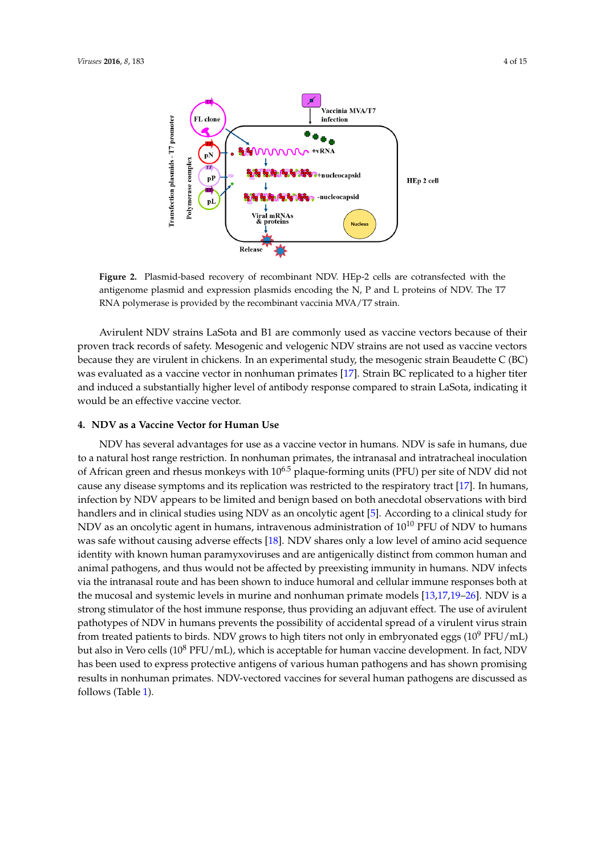<span id="page-3-0"></span>

**Figure 2.** Plasmid-based recovery of recombinant NDV. HEp-2 cells are cotransfected with the antigenome plasmid and expression plasmids encoding the N, P and L proteins of NDV. The T7 RNA polymerase is provided by the recombinant vaccinia MVA/T7 strain.

Avirulent NDV strains LaSota and B1 are commonly used as vaccine vectors because of their proven track records of safety. Mesogenic and velogenic NDV strains are not used as vaccine vectors because they are virulent in chickens. In an experimental study, the mesogenic strain Beaudette C (BC) was evaluated as a vaccine vector in nonhuman primates [\[17\]](#page-12-10). Strain BC replicated to a higher titer and induced a substantially higher level of antibody response compared to strain LaSota, indicating it would be an effective vaccine vector.

#### **4. NDV as a Vaccine Vector for Human Use**

NDV has several advantages for use as a vaccine vector in humans. NDV is safe in humans, due to a natural host range restriction. In nonhuman primates, the intranasal and intratracheal inoculation of African green and rhesus monkeys with 10<sup>6.5</sup> plaque-forming units (PFU) per site of NDV did not cause any disease symptoms and its replication was restricted to the respiratory tract [\[17\]](#page-12-10). In humans, infection by NDV appears to be limited and benign based on both anecdotal observations with bird handlers and in clinical studies using NDV as an oncolytic agent [\[5\]](#page-12-1). According to a clinical study for NDV as an oncolytic agent in humans, intravenous administration of  $10^{10}$  PFU of NDV to humans was safe without causing adverse effects [\[18\]](#page-12-11). NDV shares only a low level of amino acid sequence identity with known human paramyxoviruses and are antigenically distinct from common human and animal pathogens, and thus would not be affected by preexisting immunity in humans. NDV infects via the intranasal route and has been shown to induce humoral and cellular immune responses both at the mucosal and systemic levels in murine and nonhuman primate models [\[13,](#page-12-7)[17,](#page-12-10)[19](#page-12-12)[–26\]](#page-13-0). NDV is a strong stimulator of the host immune response, thus providing an adjuvant effect. The use of avirulent pathotypes of NDV in humans prevents the possibility of accidental spread of a virulent virus strain from treated patients to birds. NDV grows to high titers not only in embryonated eggs  $(10^9 \text{ PFU/mL})$ but also in Vero cells  $(10^8 \text{ PFU/mL})$ , which is acceptable for human vaccine development. In fact, NDV has been used to express protective antigens of various human pathogens and has shown promising results in nonhuman primates. NDV-vectored vaccines for several human pathogens are discussed as follows (Table [1\)](#page-4-0).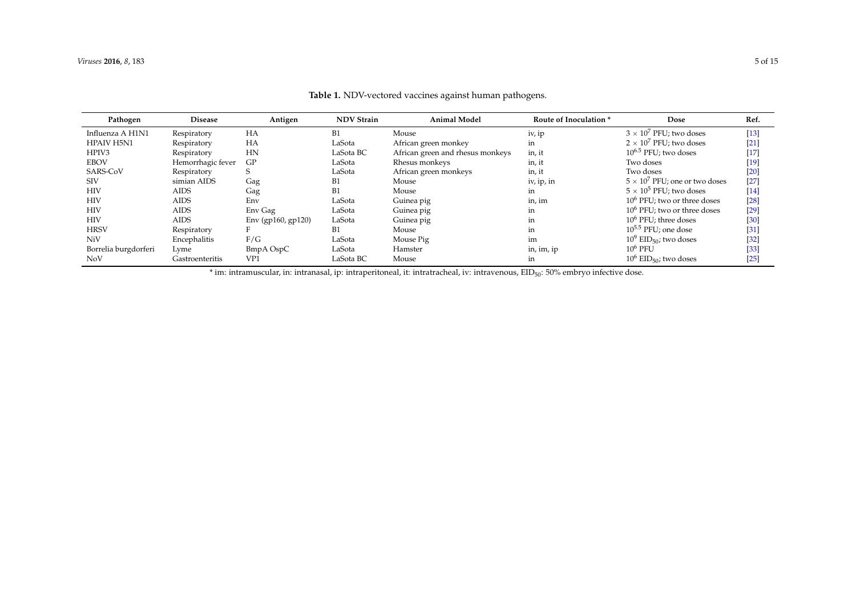| Pathogen             | <b>Disease</b>    | Antigen            | <b>NDV Strain</b> | <b>Animal Model</b>              | Route of Inoculation * | Dose                                  | Ref.   |
|----------------------|-------------------|--------------------|-------------------|----------------------------------|------------------------|---------------------------------------|--------|
| Influenza A H1N1     | Respiratory       | HA                 | B1                | Mouse                            | iv, ip                 | $3 \times 10^7$ PFU; two doses        | $[13]$ |
| <b>HPAIV H5N1</b>    | Respiratory       | HA                 | LaSota            | African green monkey             | in                     | $2 \times 10^7$ PFU: two doses        | $[21]$ |
| HPIV3                | Respiratory       | HN                 | LaSota BC         | African green and rhesus monkeys | in, it                 | $10^{6.5}$ PFU; two doses             | $[17]$ |
| <b>EBOV</b>          | Hemorrhagic fever | GP                 | LaSota            | Rhesus monkeys                   | in, it                 | Two doses                             | $[19]$ |
| SARS-CoV             | Respiratory       |                    | LaSota            | African green monkeys            | in, it                 | Two doses                             | $[20]$ |
| <b>SIV</b>           | simian AIDS       | Gag                | B1                | Mouse                            | iv, ip, in             | $5 \times 10^7$ PFU; one or two doses | $[27]$ |
| <b>HIV</b>           | <b>AIDS</b>       | Gag                | B1                | Mouse                            | in                     | $5 \times 10^5$ PFU: two doses        | $[14]$ |
| <b>HIV</b>           | <b>AIDS</b>       | Env                | LaSota            | Guinea pig                       | in, im                 | $106$ PFU; two or three doses         | [28]   |
| <b>HIV</b>           | <b>AIDS</b>       | Env Gag            | LaSota            | Guinea pig                       | in                     | $10^6$ PFU; two or three doses        | $[29]$ |
| <b>HIV</b>           | <b>AIDS</b>       | Env (gp160, gp120) | LaSota            | Guinea pig                       | in                     | $106$ PFU; three doses                | [30]   |
| <b>HRSV</b>          | Respiratory       |                    | B1                | Mouse                            | in                     | $10^{5.5}$ PFU; one dose              | [31]   |
| NiV                  | Encephalitis      | F/G                | LaSota            | Mouse Pig                        | im                     | $10^9$ EID <sub>50</sub> ; two doses  | $[32]$ |
| Borrelia burgdorferi | Lyme              | BmpA OspC          | LaSota            | Hamster                          | in, im, ip             | $10^6$ PFU                            | $[33]$ |
| <b>NoV</b>           | Gastroenteritis   | VP <sub>1</sub>    | LaSota BC         | Mouse                            | in                     | $10^6$ EID <sub>50</sub> ; two doses  | $[25]$ |

**Table 1.** NDV-vectored vaccines against human pathogens.

<span id="page-4-0"></span>\* im: intramuscular, in: intranasal, ip: intraperitoneal, it: intratracheal, iv: intravenous, EID<sub>50</sub>: 50% embryo infective dose.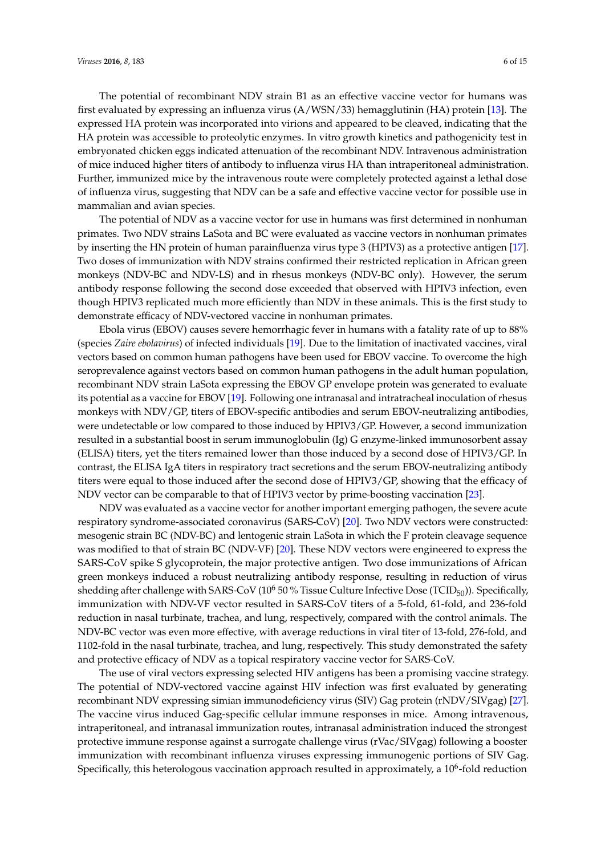The potential of recombinant NDV strain B1 as an effective vaccine vector for humans was first evaluated by expressing an influenza virus (A/WSN/33) hemagglutinin (HA) protein [\[13\]](#page-12-7). The expressed HA protein was incorporated into virions and appeared to be cleaved, indicating that the HA protein was accessible to proteolytic enzymes. In vitro growth kinetics and pathogenicity test in embryonated chicken eggs indicated attenuation of the recombinant NDV. Intravenous administration of mice induced higher titers of antibody to influenza virus HA than intraperitoneal administration. Further, immunized mice by the intravenous route were completely protected against a lethal dose of influenza virus, suggesting that NDV can be a safe and effective vaccine vector for possible use in mammalian and avian species.

The potential of NDV as a vaccine vector for use in humans was first determined in nonhuman primates. Two NDV strains LaSota and BC were evaluated as vaccine vectors in nonhuman primates by inserting the HN protein of human parainfluenza virus type 3 (HPIV3) as a protective antigen [\[17\]](#page-12-10). Two doses of immunization with NDV strains confirmed their restricted replication in African green monkeys (NDV-BC and NDV-LS) and in rhesus monkeys (NDV-BC only). However, the serum antibody response following the second dose exceeded that observed with HPIV3 infection, even though HPIV3 replicated much more efficiently than NDV in these animals. This is the first study to demonstrate efficacy of NDV-vectored vaccine in nonhuman primates.

Ebola virus (EBOV) causes severe hemorrhagic fever in humans with a fatality rate of up to 88% (species *Zaire ebolavirus*) of infected individuals [\[19\]](#page-12-12). Due to the limitation of inactivated vaccines, viral vectors based on common human pathogens have been used for EBOV vaccine. To overcome the high seroprevalence against vectors based on common human pathogens in the adult human population, recombinant NDV strain LaSota expressing the EBOV GP envelope protein was generated to evaluate its potential as a vaccine for EBOV [\[19\]](#page-12-12). Following one intranasal and intratracheal inoculation of rhesus monkeys with NDV/GP, titers of EBOV-specific antibodies and serum EBOV-neutralizing antibodies, were undetectable or low compared to those induced by HPIV3/GP. However, a second immunization resulted in a substantial boost in serum immunoglobulin (Ig) G enzyme-linked immunosorbent assay (ELISA) titers, yet the titers remained lower than those induced by a second dose of HPIV3/GP. In contrast, the ELISA IgA titers in respiratory tract secretions and the serum EBOV-neutralizing antibody titers were equal to those induced after the second dose of HPIV3/GP, showing that the efficacy of NDV vector can be comparable to that of HPIV3 vector by prime-boosting vaccination [\[23\]](#page-13-9).

NDV was evaluated as a vaccine vector for another important emerging pathogen, the severe acute respiratory syndrome-associated coronavirus (SARS-CoV) [\[20\]](#page-12-18). Two NDV vectors were constructed: mesogenic strain BC (NDV-BC) and lentogenic strain LaSota in which the F protein cleavage sequence was modified to that of strain BC (NDV-VF) [\[20\]](#page-12-18). These NDV vectors were engineered to express the SARS-CoV spike S glycoprotein, the major protective antigen. Two dose immunizations of African green monkeys induced a robust neutralizing antibody response, resulting in reduction of virus shedding after challenge with SARS-CoV ( $10^6$  50 % Tissue Culture Infective Dose (TCID<sub>50</sub>)). Specifically, immunization with NDV-VF vector resulted in SARS-CoV titers of a 5-fold, 61-fold, and 236-fold reduction in nasal turbinate, trachea, and lung, respectively, compared with the control animals. The NDV-BC vector was even more effective, with average reductions in viral titer of 13-fold, 276-fold, and 1102-fold in the nasal turbinate, trachea, and lung, respectively. This study demonstrated the safety and protective efficacy of NDV as a topical respiratory vaccine vector for SARS-CoV.

The use of viral vectors expressing selected HIV antigens has been a promising vaccine strategy. The potential of NDV-vectored vaccine against HIV infection was first evaluated by generating recombinant NDV expressing simian immunodeficiency virus (SIV) Gag protein (rNDV/SIVgag) [\[27\]](#page-13-10). The vaccine virus induced Gag-specific cellular immune responses in mice. Among intravenous, intraperitoneal, and intranasal immunization routes, intranasal administration induced the strongest protective immune response against a surrogate challenge virus (rVac/SIVgag) following a booster immunization with recombinant influenza viruses expressing immunogenic portions of SIV Gag. Specifically, this heterologous vaccination approach resulted in approximately, a  $10^6$ -fold reduction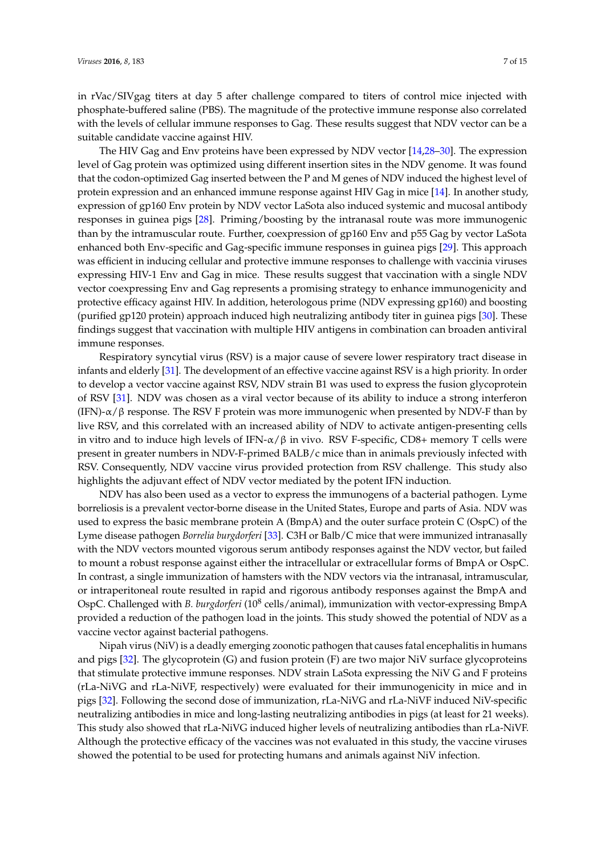in rVac/SIVgag titers at day 5 after challenge compared to titers of control mice injected with phosphate-buffered saline (PBS). The magnitude of the protective immune response also correlated with the levels of cellular immune responses to Gag. These results suggest that NDV vector can be a suitable candidate vaccine against HIV.

The HIV Gag and Env proteins have been expressed by NDV vector [\[14](#page-12-19)[,28–](#page-13-11)[30\]](#page-13-12). The expression level of Gag protein was optimized using different insertion sites in the NDV genome. It was found that the codon-optimized Gag inserted between the P and M genes of NDV induced the highest level of protein expression and an enhanced immune response against HIV Gag in mice [\[14\]](#page-12-19). In another study, expression of gp160 Env protein by NDV vector LaSota also induced systemic and mucosal antibody responses in guinea pigs [\[28\]](#page-13-11). Priming/boosting by the intranasal route was more immunogenic than by the intramuscular route. Further, coexpression of gp160 Env and p55 Gag by vector LaSota enhanced both Env-specific and Gag-specific immune responses in guinea pigs [\[29\]](#page-13-13). This approach was efficient in inducing cellular and protective immune responses to challenge with vaccinia viruses expressing HIV-1 Env and Gag in mice. These results suggest that vaccination with a single NDV vector coexpressing Env and Gag represents a promising strategy to enhance immunogenicity and protective efficacy against HIV. In addition, heterologous prime (NDV expressing gp160) and boosting (purified gp120 protein) approach induced high neutralizing antibody titer in guinea pigs [\[30\]](#page-13-12). These findings suggest that vaccination with multiple HIV antigens in combination can broaden antiviral immune responses.

Respiratory syncytial virus (RSV) is a major cause of severe lower respiratory tract disease in infants and elderly [\[31\]](#page-13-14). The development of an effective vaccine against RSV is a high priority. In order to develop a vector vaccine against RSV, NDV strain B1 was used to express the fusion glycoprotein of RSV [\[31\]](#page-13-14). NDV was chosen as a viral vector because of its ability to induce a strong interferon (IFN)- $\alpha$ / $\beta$  response. The RSV F protein was more immunogenic when presented by NDV-F than by live RSV, and this correlated with an increased ability of NDV to activate antigen-presenting cells in vitro and to induce high levels of IFN- $\alpha/\beta$  in vivo. RSV F-specific, CD8+ memory T cells were present in greater numbers in NDV-F-primed BALB/c mice than in animals previously infected with RSV. Consequently, NDV vaccine virus provided protection from RSV challenge. This study also highlights the adjuvant effect of NDV vector mediated by the potent IFN induction.

NDV has also been used as a vector to express the immunogens of a bacterial pathogen. Lyme borreliosis is a prevalent vector-borne disease in the United States, Europe and parts of Asia. NDV was used to express the basic membrane protein A (BmpA) and the outer surface protein C (OspC) of the Lyme disease pathogen *Borrelia burgdorferi* [\[33\]](#page-13-15). C3H or Balb/C mice that were immunized intranasally with the NDV vectors mounted vigorous serum antibody responses against the NDV vector, but failed to mount a robust response against either the intracellular or extracellular forms of BmpA or OspC. In contrast, a single immunization of hamsters with the NDV vectors via the intranasal, intramuscular, or intraperitoneal route resulted in rapid and rigorous antibody responses against the BmpA and OspC. Challenged with *B. burgdorferi* (10<sup>8</sup> cells/animal), immunization with vector-expressing BmpA provided a reduction of the pathogen load in the joints. This study showed the potential of NDV as a vaccine vector against bacterial pathogens.

Nipah virus (NiV) is a deadly emerging zoonotic pathogen that causes fatal encephalitis in humans and pigs [\[32\]](#page-13-16). The glycoprotein (G) and fusion protein (F) are two major NiV surface glycoproteins that stimulate protective immune responses. NDV strain LaSota expressing the NiV G and F proteins (rLa-NiVG and rLa-NiVF, respectively) were evaluated for their immunogenicity in mice and in pigs [\[32\]](#page-13-16). Following the second dose of immunization, rLa-NiVG and rLa-NiVF induced NiV-specific neutralizing antibodies in mice and long-lasting neutralizing antibodies in pigs (at least for 21 weeks). This study also showed that rLa-NiVG induced higher levels of neutralizing antibodies than rLa-NiVF. Although the protective efficacy of the vaccines was not evaluated in this study, the vaccine viruses showed the potential to be used for protecting humans and animals against NiV infection.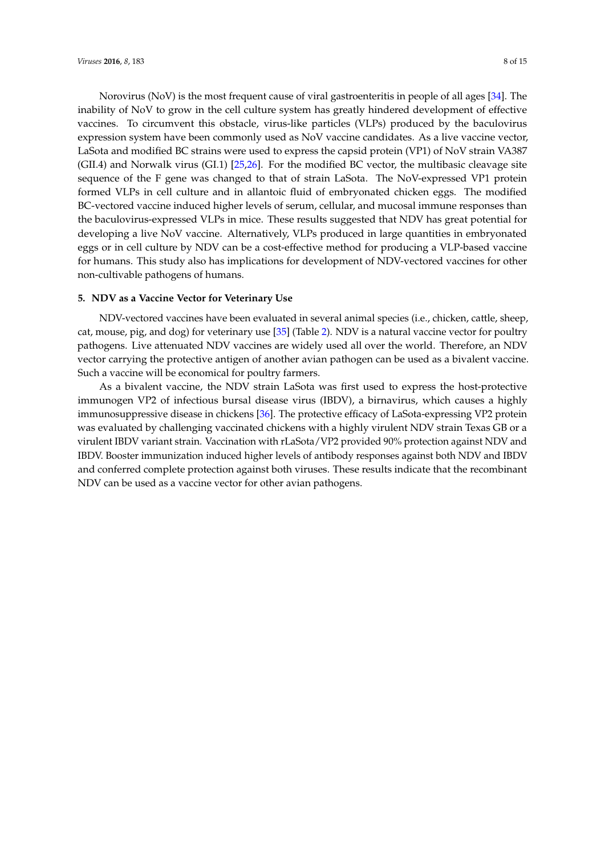Norovirus (NoV) is the most frequent cause of viral gastroenteritis in people of all ages [\[34\]](#page-13-17). The inability of NoV to grow in the cell culture system has greatly hindered development of effective vaccines. To circumvent this obstacle, virus-like particles (VLPs) produced by the baculovirus expression system have been commonly used as NoV vaccine candidates. As a live vaccine vector, LaSota and modified BC strains were used to express the capsid protein (VP1) of NoV strain VA387 (GII.4) and Norwalk virus (GI.1) [\[25,](#page-13-18)[26\]](#page-13-0). For the modified BC vector, the multibasic cleavage site sequence of the F gene was changed to that of strain LaSota. The NoV-expressed VP1 protein formed VLPs in cell culture and in allantoic fluid of embryonated chicken eggs. The modified BC-vectored vaccine induced higher levels of serum, cellular, and mucosal immune responses than the baculovirus-expressed VLPs in mice. These results suggested that NDV has great potential for developing a live NoV vaccine. Alternatively, VLPs produced in large quantities in embryonated eggs or in cell culture by NDV can be a cost-effective method for producing a VLP-based vaccine for humans. This study also has implications for development of NDV-vectored vaccines for other non-cultivable pathogens of humans.

#### **5. NDV as a Vaccine Vector for Veterinary Use**

NDV-vectored vaccines have been evaluated in several animal species (i.e., chicken, cattle, sheep, cat, mouse, pig, and dog) for veterinary use [\[35\]](#page-13-19) (Table [2\)](#page-8-0). NDV is a natural vaccine vector for poultry pathogens. Live attenuated NDV vaccines are widely used all over the world. Therefore, an NDV vector carrying the protective antigen of another avian pathogen can be used as a bivalent vaccine. Such a vaccine will be economical for poultry farmers.

As a bivalent vaccine, the NDV strain LaSota was first used to express the host-protective immunogen VP2 of infectious bursal disease virus (IBDV), a birnavirus, which causes a highly immunosuppressive disease in chickens [\[36\]](#page-13-20). The protective efficacy of LaSota-expressing VP2 protein was evaluated by challenging vaccinated chickens with a highly virulent NDV strain Texas GB or a virulent IBDV variant strain. Vaccination with rLaSota/VP2 provided 90% protection against NDV and IBDV. Booster immunization induced higher levels of antibody responses against both NDV and IBDV and conferred complete protection against both viruses. These results indicate that the recombinant NDV can be used as a vaccine vector for other avian pathogens.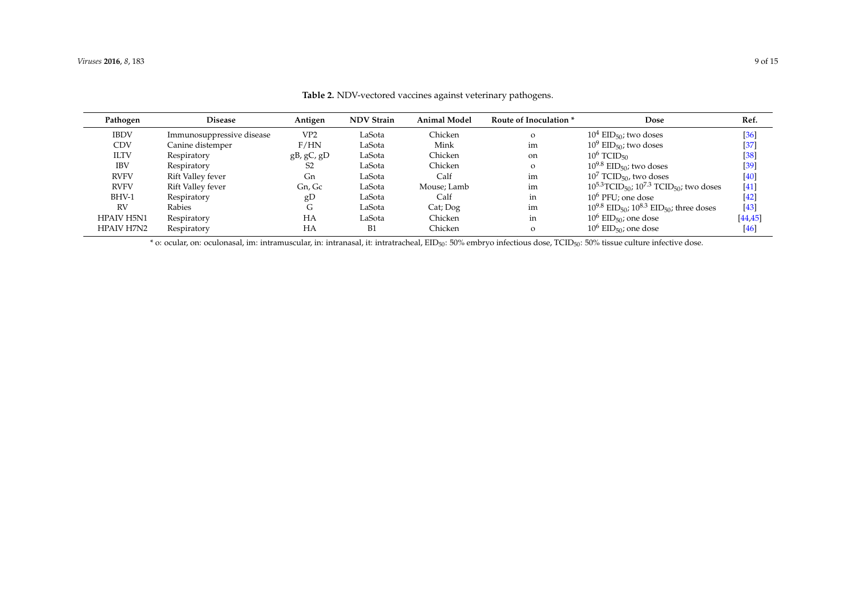| Pathogen          | <b>Disease</b>            | Antigen         | <b>NDV Strain</b> | <b>Animal Model</b> | Route of Inoculation * | Dose                                                                      | Ref.     |
|-------------------|---------------------------|-----------------|-------------------|---------------------|------------------------|---------------------------------------------------------------------------|----------|
| <b>IBDV</b>       | Immunosuppressive disease | VP <sub>2</sub> | LaSota            | Chicken             | $\Omega$               | $10^4$ EID <sub>50</sub> ; two doses                                      | $[36]$   |
| <b>CDV</b>        | Canine distemper          | F/HN            | LaSota            | Mink                | im                     | $10^9$ EID <sub>50</sub> ; two doses                                      | $[37]$   |
| <b>ILTV</b>       | Respiratory               | gB, gC, gD      | LaSota            | Chicken             | on                     | $10^6$ TCID <sub>50</sub>                                                 | $[38]$   |
| <b>IBV</b>        | Respiratory               | S <sub>2</sub>  | LaSota            | Chicken             | $\Omega$               | $10^{9.8}$ EID <sub>50</sub> ; two doses                                  | $[39]$   |
| <b>RVFV</b>       | Rift Valley fever         | Gn              | LaSota            | Calf                | im                     | $10^7$ TCID <sub>50</sub> , two doses                                     | $[40]$   |
| <b>RVFV</b>       | Rift Valley fever         | Gn, Gc          | LaSota            | Mouse; Lamb         | im                     | $10^{5.3}$ TCID <sub>50</sub> ; $10^{7.3}$ TCID <sub>50</sub> ; two doses | $[41]$   |
| BHV-1             | Respiratory               | gD              | LaSota            | Calf                | in                     | $10^6$ PFU: one dose                                                      | $[42]$   |
| <b>RV</b>         | Rabies                    | G               | LaSota            | Cat; Dog            | im                     | $10^{9.8}$ EID <sub>50</sub> ; $10^{8.3}$ EID <sub>50</sub> ; three doses | $[43]$   |
| <b>HPAIV H5N1</b> | Respiratory               | HA              | LaSota            | Chicken             | in                     | $10^6$ EID <sub>50</sub> ; one dose                                       | [44, 45] |
| <b>HPAIV H7N2</b> | Respiratory               | HA              | B1                | Chicken             | $\circ$                | $10^6$ EID <sub>50</sub> ; one dose                                       | $[46]$   |

**Table 2.** NDV-vectored vaccines against veterinary pathogens.

<span id="page-8-0"></span>\* o: ocular, on: oculonasal, im: intramuscular, in: intranasal, it: intratracheal, EID50: 50% embryo infectious dose, TCID50: 50% tissue culture infective dose.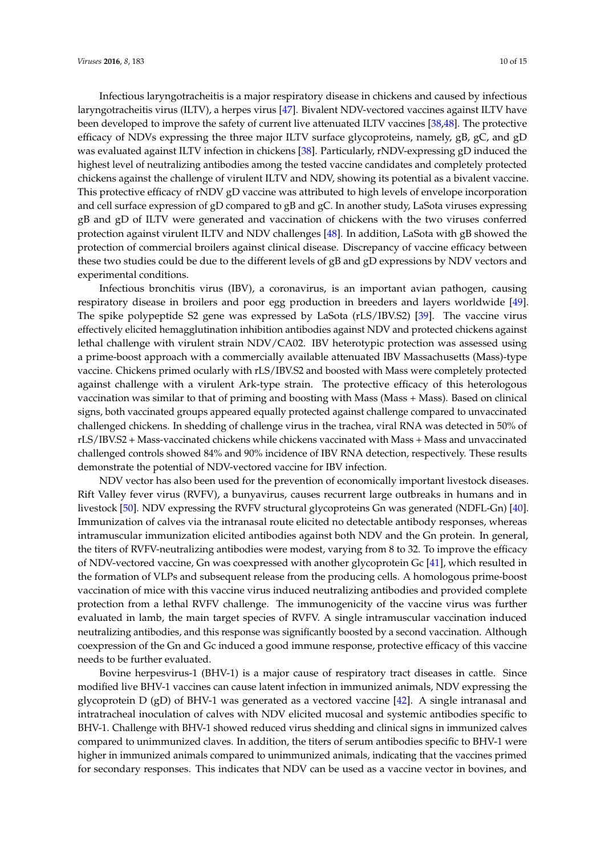Infectious laryngotracheitis is a major respiratory disease in chickens and caused by infectious laryngotracheitis virus (ILTV), a herpes virus [\[47\]](#page-14-7). Bivalent NDV-vectored vaccines against ILTV have been developed to improve the safety of current live attenuated ILTV vaccines [\[38](#page-13-25)[,48\]](#page-14-8). The protective efficacy of NDVs expressing the three major ILTV surface glycoproteins, namely, gB, gC, and gD was evaluated against ILTV infection in chickens [\[38\]](#page-13-25). Particularly, rNDV-expressing gD induced the highest level of neutralizing antibodies among the tested vaccine candidates and completely protected chickens against the challenge of virulent ILTV and NDV, showing its potential as a bivalent vaccine. This protective efficacy of rNDV gD vaccine was attributed to high levels of envelope incorporation and cell surface expression of gD compared to gB and gC. In another study, LaSota viruses expressing gB and gD of ILTV were generated and vaccination of chickens with the two viruses conferred protection against virulent ILTV and NDV challenges [\[48\]](#page-14-8). In addition, LaSota with gB showed the protection of commercial broilers against clinical disease. Discrepancy of vaccine efficacy between these two studies could be due to the different levels of gB and gD expressions by NDV vectors and experimental conditions.

Infectious bronchitis virus (IBV), a coronavirus, is an important avian pathogen, causing respiratory disease in broilers and poor egg production in breeders and layers worldwide [\[49\]](#page-14-9). The spike polypeptide S2 gene was expressed by LaSota (rLS/IBV.S2) [\[39\]](#page-13-26). The vaccine virus effectively elicited hemagglutination inhibition antibodies against NDV and protected chickens against lethal challenge with virulent strain NDV/CA02. IBV heterotypic protection was assessed using a prime-boost approach with a commercially available attenuated IBV Massachusetts (Mass)-type vaccine. Chickens primed ocularly with rLS/IBV.S2 and boosted with Mass were completely protected against challenge with a virulent Ark-type strain. The protective efficacy of this heterologous vaccination was similar to that of priming and boosting with Mass (Mass + Mass). Based on clinical signs, both vaccinated groups appeared equally protected against challenge compared to unvaccinated challenged chickens. In shedding of challenge virus in the trachea, viral RNA was detected in 50% of rLS/IBV.S2 + Mass-vaccinated chickens while chickens vaccinated with Mass + Mass and unvaccinated challenged controls showed 84% and 90% incidence of IBV RNA detection, respectively. These results demonstrate the potential of NDV-vectored vaccine for IBV infection.

NDV vector has also been used for the prevention of economically important livestock diseases. Rift Valley fever virus (RVFV), a bunyavirus, causes recurrent large outbreaks in humans and in livestock [\[50\]](#page-14-10). NDV expressing the RVFV structural glycoproteins Gn was generated (NDFL-Gn) [\[40\]](#page-14-11). Immunization of calves via the intranasal route elicited no detectable antibody responses, whereas intramuscular immunization elicited antibodies against both NDV and the Gn protein. In general, the titers of RVFV-neutralizing antibodies were modest, varying from 8 to 32. To improve the efficacy of NDV-vectored vaccine, Gn was coexpressed with another glycoprotein Gc [\[41\]](#page-14-12), which resulted in the formation of VLPs and subsequent release from the producing cells. A homologous prime-boost vaccination of mice with this vaccine virus induced neutralizing antibodies and provided complete protection from a lethal RVFV challenge. The immunogenicity of the vaccine virus was further evaluated in lamb, the main target species of RVFV. A single intramuscular vaccination induced neutralizing antibodies, and this response was significantly boosted by a second vaccination. Although coexpression of the Gn and Gc induced a good immune response, protective efficacy of this vaccine needs to be further evaluated.

Bovine herpesvirus-1 (BHV-1) is a major cause of respiratory tract diseases in cattle. Since modified live BHV-1 vaccines can cause latent infection in immunized animals, NDV expressing the glycoprotein D (gD) of BHV-1 was generated as a vectored vaccine [\[42\]](#page-14-13). A single intranasal and intratracheal inoculation of calves with NDV elicited mucosal and systemic antibodies specific to BHV-1. Challenge with BHV-1 showed reduced virus shedding and clinical signs in immunized calves compared to unimmunized claves. In addition, the titers of serum antibodies specific to BHV-1 were higher in immunized animals compared to unimmunized animals, indicating that the vaccines primed for secondary responses. This indicates that NDV can be used as a vaccine vector in bovines, and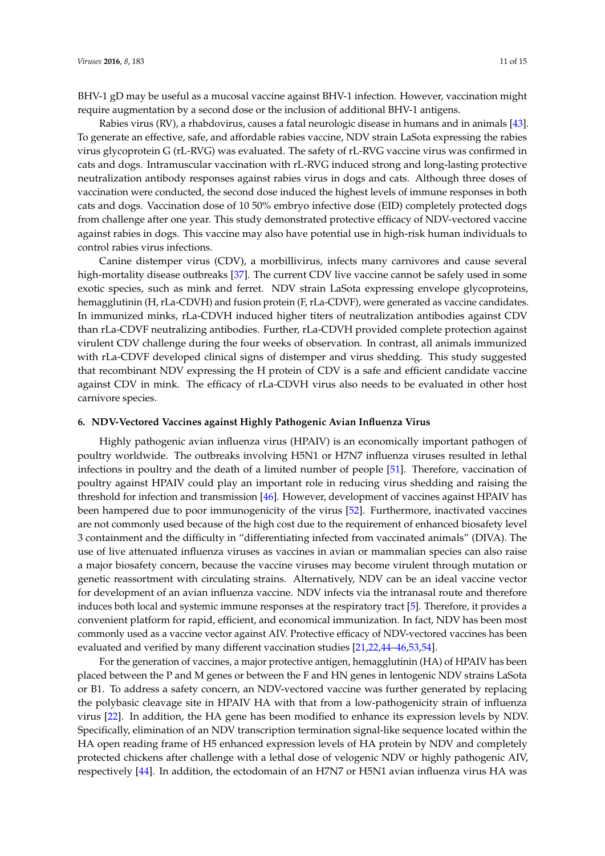BHV-1 gD may be useful as a mucosal vaccine against BHV-1 infection. However, vaccination might require augmentation by a second dose or the inclusion of additional BHV-1 antigens.

Rabies virus (RV), a rhabdovirus, causes a fatal neurologic disease in humans and in animals [\[43\]](#page-14-14). To generate an effective, safe, and affordable rabies vaccine, NDV strain LaSota expressing the rabies virus glycoprotein G (rL-RVG) was evaluated. The safety of rL-RVG vaccine virus was confirmed in cats and dogs. Intramuscular vaccination with rL-RVG induced strong and long-lasting protective neutralization antibody responses against rabies virus in dogs and cats. Although three doses of vaccination were conducted, the second dose induced the highest levels of immune responses in both cats and dogs. Vaccination dose of 10 50% embryo infective dose (EID) completely protected dogs from challenge after one year. This study demonstrated protective efficacy of NDV-vectored vaccine against rabies in dogs. This vaccine may also have potential use in high-risk human individuals to control rabies virus infections.

Canine distemper virus (CDV), a morbillivirus, infects many carnivores and cause several high-mortality disease outbreaks [\[37\]](#page-13-27). The current CDV live vaccine cannot be safely used in some exotic species, such as mink and ferret. NDV strain LaSota expressing envelope glycoproteins, hemagglutinin (H, rLa-CDVH) and fusion protein (F, rLa-CDVF), were generated as vaccine candidates. In immunized minks, rLa-CDVH induced higher titers of neutralization antibodies against CDV than rLa-CDVF neutralizing antibodies. Further, rLa-CDVH provided complete protection against virulent CDV challenge during the four weeks of observation. In contrast, all animals immunized with rLa-CDVF developed clinical signs of distemper and virus shedding. This study suggested that recombinant NDV expressing the H protein of CDV is a safe and efficient candidate vaccine against CDV in mink. The efficacy of rLa-CDVH virus also needs to be evaluated in other host carnivore species.

#### **6. NDV-Vectored Vaccines against Highly Pathogenic Avian Influenza Virus**

Highly pathogenic avian influenza virus (HPAIV) is an economically important pathogen of poultry worldwide. The outbreaks involving H5N1 or H7N7 influenza viruses resulted in lethal infections in poultry and the death of a limited number of people [\[51\]](#page-14-15). Therefore, vaccination of poultry against HPAIV could play an important role in reducing virus shedding and raising the threshold for infection and transmission [\[46\]](#page-14-16). However, development of vaccines against HPAIV has been hampered due to poor immunogenicity of the virus [\[52\]](#page-14-17). Furthermore, inactivated vaccines are not commonly used because of the high cost due to the requirement of enhanced biosafety level 3 containment and the difficulty in "differentiating infected from vaccinated animals" (DIVA). The use of live attenuated influenza viruses as vaccines in avian or mammalian species can also raise a major biosafety concern, because the vaccine viruses may become virulent through mutation or genetic reassortment with circulating strains. Alternatively, NDV can be an ideal vaccine vector for development of an avian influenza vaccine. NDV infects via the intranasal route and therefore induces both local and systemic immune responses at the respiratory tract [\[5\]](#page-12-1). Therefore, it provides a convenient platform for rapid, efficient, and economical immunization. In fact, NDV has been most commonly used as a vaccine vector against AIV. Protective efficacy of NDV-vectored vaccines has been evaluated and verified by many different vaccination studies [\[21,](#page-12-20)[22](#page-12-21)[,44–](#page-14-18)[46](#page-14-16)[,53](#page-14-19)[,54\]](#page-14-20).

For the generation of vaccines, a major protective antigen, hemagglutinin (HA) of HPAIV has been placed between the P and M genes or between the F and HN genes in lentogenic NDV strains LaSota or B1. To address a safety concern, an NDV-vectored vaccine was further generated by replacing the polybasic cleavage site in HPAIV HA with that from a low-pathogenicity strain of influenza virus [\[22\]](#page-12-21). In addition, the HA gene has been modified to enhance its expression levels by NDV. Specifically, elimination of an NDV transcription termination signal-like sequence located within the HA open reading frame of H5 enhanced expression levels of HA protein by NDV and completely protected chickens after challenge with a lethal dose of velogenic NDV or highly pathogenic AIV, respectively [\[44\]](#page-14-18). In addition, the ectodomain of an H7N7 or H5N1 avian influenza virus HA was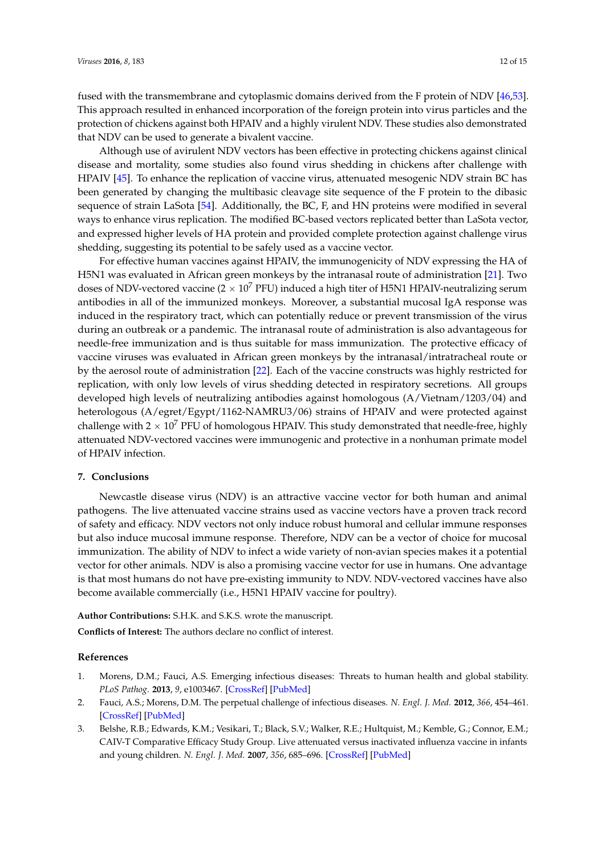fused with the transmembrane and cytoplasmic domains derived from the F protein of NDV [\[46,](#page-14-16)[53\]](#page-14-19). This approach resulted in enhanced incorporation of the foreign protein into virus particles and the protection of chickens against both HPAIV and a highly virulent NDV. These studies also demonstrated that NDV can be used to generate a bivalent vaccine.

Although use of avirulent NDV vectors has been effective in protecting chickens against clinical disease and mortality, some studies also found virus shedding in chickens after challenge with HPAIV [\[45\]](#page-14-21). To enhance the replication of vaccine virus, attenuated mesogenic NDV strain BC has been generated by changing the multibasic cleavage site sequence of the F protein to the dibasic sequence of strain LaSota [\[54\]](#page-14-20). Additionally, the BC, F, and HN proteins were modified in several ways to enhance virus replication. The modified BC-based vectors replicated better than LaSota vector, and expressed higher levels of HA protein and provided complete protection against challenge virus shedding, suggesting its potential to be safely used as a vaccine vector.

For effective human vaccines against HPAIV, the immunogenicity of NDV expressing the HA of H5N1 was evaluated in African green monkeys by the intranasal route of administration [\[21\]](#page-12-20). Two doses of NDV-vectored vaccine ( $2 \times 10^7$  PFU) induced a high titer of H5N1 HPAIV-neutralizing serum antibodies in all of the immunized monkeys. Moreover, a substantial mucosal IgA response was induced in the respiratory tract, which can potentially reduce or prevent transmission of the virus during an outbreak or a pandemic. The intranasal route of administration is also advantageous for needle-free immunization and is thus suitable for mass immunization. The protective efficacy of vaccine viruses was evaluated in African green monkeys by the intranasal/intratracheal route or by the aerosol route of administration [\[22\]](#page-12-21). Each of the vaccine constructs was highly restricted for replication, with only low levels of virus shedding detected in respiratory secretions. All groups developed high levels of neutralizing antibodies against homologous (A/Vietnam/1203/04) and heterologous (A/egret/Egypt/1162-NAMRU3/06) strains of HPAIV and were protected against challenge with  $2 \times 10^7$  PFU of homologous HPAIV. This study demonstrated that needle-free, highly attenuated NDV-vectored vaccines were immunogenic and protective in a nonhuman primate model of HPAIV infection.

#### **7. Conclusions**

Newcastle disease virus (NDV) is an attractive vaccine vector for both human and animal pathogens. The live attenuated vaccine strains used as vaccine vectors have a proven track record of safety and efficacy. NDV vectors not only induce robust humoral and cellular immune responses but also induce mucosal immune response. Therefore, NDV can be a vector of choice for mucosal immunization. The ability of NDV to infect a wide variety of non-avian species makes it a potential vector for other animals. NDV is also a promising vaccine vector for use in humans. One advantage is that most humans do not have pre-existing immunity to NDV. NDV-vectored vaccines have also become available commercially (i.e., H5N1 HPAIV vaccine for poultry).

**Author Contributions:** S.H.K. and S.K.S. wrote the manuscript.

**Conflicts of Interest:** The authors declare no conflict of interest.

#### **References**

- <span id="page-11-0"></span>1. Morens, D.M.; Fauci, A.S. Emerging infectious diseases: Threats to human health and global stability. *PLoS Pathog.* **2013**, *9*, e1003467. [\[CrossRef\]](http://dx.doi.org/10.1371/journal.ppat.1003467) [\[PubMed\]](http://www.ncbi.nlm.nih.gov/pubmed/23853589)
- <span id="page-11-1"></span>2. Fauci, A.S.; Morens, D.M. The perpetual challenge of infectious diseases. *N. Engl. J. Med.* **2012**, *366*, 454–461. [\[CrossRef\]](http://dx.doi.org/10.1056/NEJMra1108296) [\[PubMed\]](http://www.ncbi.nlm.nih.gov/pubmed/22296079)
- <span id="page-11-2"></span>3. Belshe, R.B.; Edwards, K.M.; Vesikari, T.; Black, S.V.; Walker, R.E.; Hultquist, M.; Kemble, G.; Connor, E.M.; CAIV-T Comparative Efficacy Study Group. Live attenuated versus inactivated influenza vaccine in infants and young children. *N. Engl. J. Med.* **2007**, *356*, 685–696. [\[CrossRef\]](http://dx.doi.org/10.1056/NEJMoa065368) [\[PubMed\]](http://www.ncbi.nlm.nih.gov/pubmed/17301299)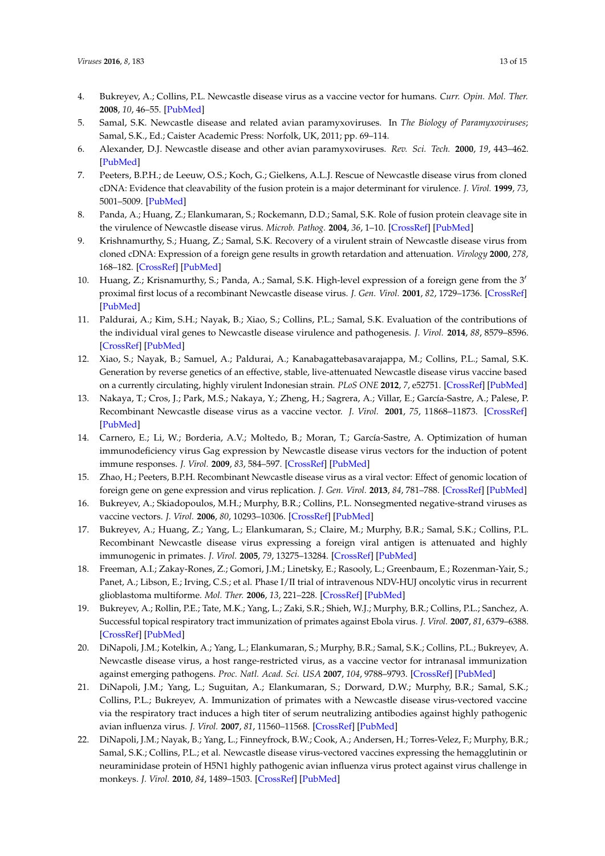- <span id="page-12-0"></span>4. Bukreyev, A.; Collins, P.L. Newcastle disease virus as a vaccine vector for humans. *Curr. Opin. Mol. Ther.* **2008**, *10*, 46–55. [\[PubMed\]](http://www.ncbi.nlm.nih.gov/pubmed/18228181)
- <span id="page-12-1"></span>5. Samal, S.K. Newcastle disease and related avian paramyxoviruses. In *The Biology of Paramyxoviruses*; Samal, S.K., Ed.; Caister Academic Press: Norfolk, UK, 2011; pp. 69–114.
- <span id="page-12-13"></span><span id="page-12-2"></span>6. Alexander, D.J. Newcastle disease and other avian paramyxoviruses. *Rev. Sci. Tech.* **2000**, *19*, 443–462. [\[PubMed\]](http://www.ncbi.nlm.nih.gov/pubmed/10935273)
- <span id="page-12-17"></span><span id="page-12-3"></span>7. Peeters, B.P.H.; de Leeuw, O.S.; Koch, G.; Gielkens, A.L.J. Rescue of Newcastle disease virus from cloned cDNA: Evidence that cleavability of the fusion protein is a major determinant for virulence. *J. Virol.* **1999**, *73*, 5001–5009. [\[PubMed\]](http://www.ncbi.nlm.nih.gov/pubmed/10233962)
- <span id="page-12-4"></span>8. Panda, A.; Huang, Z.; Elankumaran, S.; Rockemann, D.D.; Samal, S.K. Role of fusion protein cleavage site in the virulence of Newcastle disease virus. *Microb. Pathog.* **2004**, *36*, 1–10. [\[CrossRef\]](http://dx.doi.org/10.1016/j.micpath.2003.07.003) [\[PubMed\]](http://www.ncbi.nlm.nih.gov/pubmed/14643634)
- <span id="page-12-5"></span>9. Krishnamurthy, S.; Huang, Z.; Samal, S.K. Recovery of a virulent strain of Newcastle disease virus from cloned cDNA: Expression of a foreign gene results in growth retardation and attenuation. *Virology* **2000**, *278*, 168–182. [\[CrossRef\]](http://dx.doi.org/10.1006/viro.2000.0618) [\[PubMed\]](http://www.ncbi.nlm.nih.gov/pubmed/11112492)
- <span id="page-12-15"></span>10. Huang, Z.; Krisnamurthy, S.; Panda, A.; Samal, S.K. High-level expression of a foreign gene from the 3' proximal first locus of a recombinant Newcastle disease virus. *J. Gen. Virol.* **2001**, *82*, 1729–1736. [\[CrossRef\]](http://dx.doi.org/10.1099/0022-1317-82-7-1729) [\[PubMed\]](http://www.ncbi.nlm.nih.gov/pubmed/11413385)
- 11. Paldurai, A.; Kim, S.H.; Nayak, B.; Xiao, S.; Collins, P.L.; Samal, S.K. Evaluation of the contributions of the individual viral genes to Newcastle disease virulence and pathogenesis. *J. Virol.* **2014**, *88*, 8579–8596. [\[CrossRef\]](http://dx.doi.org/10.1128/JVI.00666-14) [\[PubMed\]](http://www.ncbi.nlm.nih.gov/pubmed/24850737)
- <span id="page-12-6"></span>12. Xiao, S.; Nayak, B.; Samuel, A.; Paldurai, A.; Kanabagattebasavarajappa, M.; Collins, P.L.; Samal, S.K. Generation by reverse genetics of an effective, stable, live-attenuated Newcastle disease virus vaccine based on a currently circulating, highly virulent Indonesian strain. *PLoS ONE* **2012**, *7*, e52751. [\[CrossRef\]](http://dx.doi.org/10.1371/journal.pone.0052751) [\[PubMed\]](http://www.ncbi.nlm.nih.gov/pubmed/23285174)
- <span id="page-12-16"></span><span id="page-12-7"></span>13. Nakaya, T.; Cros, J.; Park, M.S.; Nakaya, Y.; Zheng, H.; Sagrera, A.; Villar, E.; García-Sastre, A.; Palese, P. Recombinant Newcastle disease virus as a vaccine vector. *J. Virol.* **2001**, *75*, 11868–11873. [\[CrossRef\]](http://dx.doi.org/10.1128/JVI.75.23.11868-11873.2001) [\[PubMed\]](http://www.ncbi.nlm.nih.gov/pubmed/11689668)
- <span id="page-12-19"></span><span id="page-12-14"></span>14. Carnero, E.; Li, W.; Borderia, A.V.; Moltedo, B.; Moran, T.; García-Sastre, A. Optimization of human immunodeficiency virus Gag expression by Newcastle disease virus vectors for the induction of potent immune responses. *J. Virol.* **2009**, *83*, 584–597. [\[CrossRef\]](http://dx.doi.org/10.1128/JVI.01443-08) [\[PubMed\]](http://www.ncbi.nlm.nih.gov/pubmed/19004953)
- <span id="page-12-8"></span>15. Zhao, H.; Peeters, B.P.H. Recombinant Newcastle disease virus as a viral vector: Effect of genomic location of foreign gene on gene expression and virus replication. *J. Gen. Virol.* **2013**, *84*, 781–788. [\[CrossRef\]](http://dx.doi.org/10.1099/vir.0.18884-0) [\[PubMed\]](http://www.ncbi.nlm.nih.gov/pubmed/12655078)
- <span id="page-12-9"></span>16. Bukreyev, A.; Skiadopoulos, M.H.; Murphy, B.R.; Collins, P.L. Nonsegmented negative-strand viruses as vaccine vectors. *J. Virol.* **2006**, *80*, 10293–10306. [\[CrossRef\]](http://dx.doi.org/10.1128/JVI.00919-06) [\[PubMed\]](http://www.ncbi.nlm.nih.gov/pubmed/17041210)
- <span id="page-12-10"></span>17. Bukreyev, A.; Huang, Z.; Yang, L.; Elankumaran, S.; Claire, M.; Murphy, B.R.; Samal, S.K.; Collins, P.L. Recombinant Newcastle disease virus expressing a foreign viral antigen is attenuated and highly immunogenic in primates. *J. Virol.* **2005**, *79*, 13275–13284. [\[CrossRef\]](http://dx.doi.org/10.1128/JVI.79.21.13275-13284.2005) [\[PubMed\]](http://www.ncbi.nlm.nih.gov/pubmed/16227250)
- <span id="page-12-11"></span>18. Freeman, A.I.; Zakay-Rones, Z.; Gomori, J.M.; Linetsky, E.; Rasooly, L.; Greenbaum, E.; Rozenman-Yair, S.; Panet, A.; Libson, E.; Irving, C.S.; et al. Phase I/II trial of intravenous NDV-HUJ oncolytic virus in recurrent glioblastoma multiforme. *Mol. Ther.* **2006**, *13*, 221–228. [\[CrossRef\]](http://dx.doi.org/10.1016/j.ymthe.2005.08.016) [\[PubMed\]](http://www.ncbi.nlm.nih.gov/pubmed/16257582)
- <span id="page-12-12"></span>19. Bukreyev, A.; Rollin, P.E.; Tate, M.K.; Yang, L.; Zaki, S.R.; Shieh, W.J.; Murphy, B.R.; Collins, P.L.; Sanchez, A. Successful topical respiratory tract immunization of primates against Ebola virus. *J. Virol.* **2007**, *81*, 6379–6388. [\[CrossRef\]](http://dx.doi.org/10.1128/JVI.00105-07) [\[PubMed\]](http://www.ncbi.nlm.nih.gov/pubmed/17428868)
- <span id="page-12-18"></span>20. DiNapoli, J.M.; Kotelkin, A.; Yang, L.; Elankumaran, S.; Murphy, B.R.; Samal, S.K.; Collins, P.L.; Bukreyev, A. Newcastle disease virus, a host range-restricted virus, as a vaccine vector for intranasal immunization against emerging pathogens. *Proc. Natl. Acad. Sci. USA* **2007**, *104*, 9788–9793. [\[CrossRef\]](http://dx.doi.org/10.1073/pnas.0703584104) [\[PubMed\]](http://www.ncbi.nlm.nih.gov/pubmed/17535926)
- <span id="page-12-20"></span>21. DiNapoli, J.M.; Yang, L.; Suguitan, A.; Elankumaran, S.; Dorward, D.W.; Murphy, B.R.; Samal, S.K.; Collins, P.L.; Bukreyev, A. Immunization of primates with a Newcastle disease virus-vectored vaccine via the respiratory tract induces a high titer of serum neutralizing antibodies against highly pathogenic avian influenza virus. *J. Virol.* **2007**, *81*, 11560–11568. [\[CrossRef\]](http://dx.doi.org/10.1128/JVI.00713-07) [\[PubMed\]](http://www.ncbi.nlm.nih.gov/pubmed/17715243)
- <span id="page-12-21"></span>22. DiNapoli, J.M.; Nayak, B.; Yang, L.; Finneyfrock, B.W.; Cook, A.; Andersen, H.; Torres-Velez, F.; Murphy, B.R.; Samal, S.K.; Collins, P.L.; et al. Newcastle disease virus-vectored vaccines expressing the hemagglutinin or neuraminidase protein of H5N1 highly pathogenic avian influenza virus protect against virus challenge in monkeys. *J. Virol.* **2010**, *84*, 1489–1503. [\[CrossRef\]](http://dx.doi.org/10.1128/JVI.01946-09) [\[PubMed\]](http://www.ncbi.nlm.nih.gov/pubmed/19923177)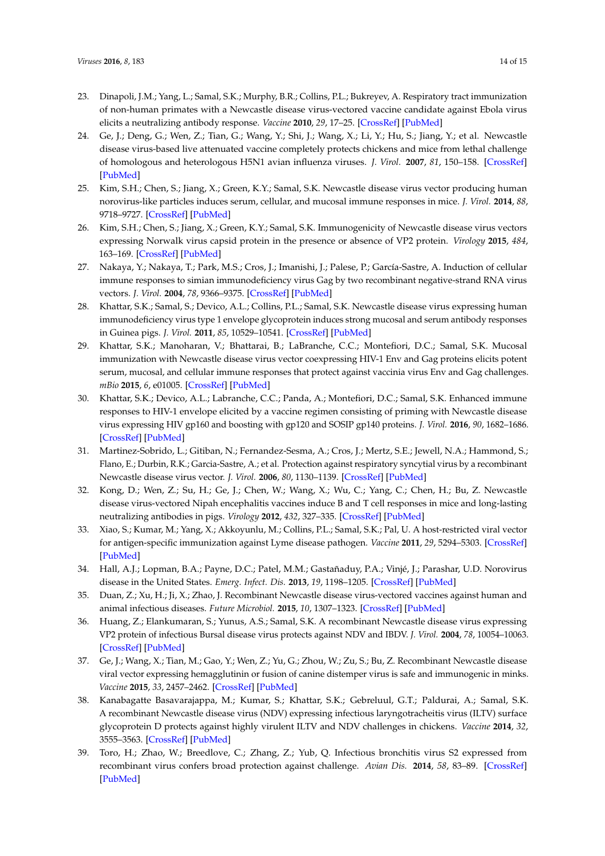- <span id="page-13-9"></span><span id="page-13-8"></span><span id="page-13-3"></span><span id="page-13-2"></span><span id="page-13-1"></span>23. Dinapoli, J.M.; Yang, L.; Samal, S.K.; Murphy, B.R.; Collins, P.L.; Bukreyev, A. Respiratory tract immunization of non-human primates with a Newcastle disease virus-vectored vaccine candidate against Ebola virus elicits a neutralizing antibody response. *Vaccine* **2010**, *29*, 17–25. [\[CrossRef\]](http://dx.doi.org/10.1016/j.vaccine.2010.10.024) [\[PubMed\]](http://www.ncbi.nlm.nih.gov/pubmed/21034822)
- <span id="page-13-4"></span>24. Ge, J.; Deng, G.; Wen, Z.; Tian, G.; Wang, Y.; Shi, J.; Wang, X.; Li, Y.; Hu, S.; Jiang, Y.; et al. Newcastle disease virus-based live attenuated vaccine completely protects chickens and mice from lethal challenge of homologous and heterologous H5N1 avian influenza viruses. *J. Virol.* **2007**, *81*, 150–158. [\[CrossRef\]](http://dx.doi.org/10.1128/JVI.01514-06) [\[PubMed\]](http://www.ncbi.nlm.nih.gov/pubmed/17050610)
- <span id="page-13-18"></span><span id="page-13-5"></span>25. Kim, S.H.; Chen, S.; Jiang, X.; Green, K.Y.; Samal, S.K. Newcastle disease virus vector producing human norovirus-like particles induces serum, cellular, and mucosal immune responses in mice. *J. Virol.* **2014**, *88*, 9718–9727. [\[CrossRef\]](http://dx.doi.org/10.1128/JVI.01570-14) [\[PubMed\]](http://www.ncbi.nlm.nih.gov/pubmed/24920815)
- <span id="page-13-6"></span><span id="page-13-0"></span>26. Kim, S.H.; Chen, S.; Jiang, X.; Green, K.Y.; Samal, S.K. Immunogenicity of Newcastle disease virus vectors expressing Norwalk virus capsid protein in the presence or absence of VP2 protein. *Virology* **2015**, *484*, 163–169. [\[CrossRef\]](http://dx.doi.org/10.1016/j.virol.2015.06.003) [\[PubMed\]](http://www.ncbi.nlm.nih.gov/pubmed/26099695)
- <span id="page-13-10"></span><span id="page-13-7"></span>27. Nakaya, Y.; Nakaya, T.; Park, M.S.; Cros, J.; Imanishi, J.; Palese, P.; García-Sastre, A. Induction of cellular immune responses to simian immunodeficiency virus Gag by two recombinant negative-strand RNA virus vectors. *J. Virol.* **2004**, *78*, 9366–9375. [\[CrossRef\]](http://dx.doi.org/10.1128/JVI.78.17.9366-9375.2004) [\[PubMed\]](http://www.ncbi.nlm.nih.gov/pubmed/15308731)
- <span id="page-13-11"></span>28. Khattar, S.K.; Samal, S.; Devico, A.L.; Collins, P.L.; Samal, S.K. Newcastle disease virus expressing human immunodeficiency virus type 1 envelope glycoprotein induces strong mucosal and serum antibody responses in Guinea pigs. *J. Virol.* **2011**, *85*, 10529–10541. [\[CrossRef\]](http://dx.doi.org/10.1128/JVI.05050-11) [\[PubMed\]](http://www.ncbi.nlm.nih.gov/pubmed/21849467)
- <span id="page-13-21"></span><span id="page-13-13"></span>29. Khattar, S.K.; Manoharan, V.; Bhattarai, B.; LaBranche, C.C.; Montefiori, D.C.; Samal, S.K. Mucosal immunization with Newcastle disease virus vector coexpressing HIV-1 Env and Gag proteins elicits potent serum, mucosal, and cellular immune responses that protect against vaccinia virus Env and Gag challenges. *mBio* **2015**, *6*, e01005. [\[CrossRef\]](http://dx.doi.org/10.1128/mBio.01005-15) [\[PubMed\]](http://www.ncbi.nlm.nih.gov/pubmed/26199332)
- <span id="page-13-22"></span><span id="page-13-12"></span>30. Khattar, S.K.; Devico, A.L.; Labranche, C.C.; Panda, A.; Montefiori, D.C.; Samal, S.K. Enhanced immune responses to HIV-1 envelope elicited by a vaccine regimen consisting of priming with Newcastle disease virus expressing HIV gp160 and boosting with gp120 and SOSIP gp140 proteins. *J. Virol.* **2016**, *90*, 1682–1686. [\[CrossRef\]](http://dx.doi.org/10.1128/JVI.02847-15) [\[PubMed\]](http://www.ncbi.nlm.nih.gov/pubmed/26581986)
- <span id="page-13-23"></span><span id="page-13-14"></span>31. Martinez-Sobrido, L.; Gitiban, N.; Fernandez-Sesma, A.; Cros, J.; Mertz, S.E.; Jewell, N.A.; Hammond, S.; Flano, E.; Durbin, R.K.; Garcia-Sastre, A.; et al. Protection against respiratory syncytial virus by a recombinant Newcastle disease virus vector. *J. Virol.* **2006**, *80*, 1130–1139. [\[CrossRef\]](http://dx.doi.org/10.1128/JVI.80.3.1130-1139.2006) [\[PubMed\]](http://www.ncbi.nlm.nih.gov/pubmed/16414990)
- <span id="page-13-24"></span><span id="page-13-16"></span>32. Kong, D.; Wen, Z.; Su, H.; Ge, J.; Chen, W.; Wang, X.; Wu, C.; Yang, C.; Chen, H.; Bu, Z. Newcastle disease virus-vectored Nipah encephalitis vaccines induce B and T cell responses in mice and long-lasting neutralizing antibodies in pigs. *Virology* **2012**, *432*, 327–335. [\[CrossRef\]](http://dx.doi.org/10.1016/j.virol.2012.06.001) [\[PubMed\]](http://www.ncbi.nlm.nih.gov/pubmed/22726244)
- <span id="page-13-15"></span>33. Xiao, S.; Kumar, M.; Yang, X.; Akkoyunlu, M.; Collins, P.L.; Samal, S.K.; Pal, U. A host-restricted viral vector for antigen-specific immunization against Lyme disease pathogen. *Vaccine* **2011**, *29*, 5294–5303. [\[CrossRef\]](http://dx.doi.org/10.1016/j.vaccine.2011.05.010) [\[PubMed\]](http://www.ncbi.nlm.nih.gov/pubmed/21600949)
- <span id="page-13-17"></span>34. Hall, A.J.; Lopman, B.A.; Payne, D.C.; Patel, M.M.; Gastañaduy, P.A.; Vinjé, J.; Parashar, U.D. Norovirus disease in the United States. *Emerg. Infect. Dis.* **2013**, *19*, 1198–1205. [\[CrossRef\]](http://dx.doi.org/10.3201/eid1908.130465) [\[PubMed\]](http://www.ncbi.nlm.nih.gov/pubmed/23876403)
- <span id="page-13-19"></span>35. Duan, Z.; Xu, H.; Ji, X.; Zhao, J. Recombinant Newcastle disease virus-vectored vaccines against human and animal infectious diseases. *Future Microbiol.* **2015**, *10*, 1307–1323. [\[CrossRef\]](http://dx.doi.org/10.2217/FMB.15.59) [\[PubMed\]](http://www.ncbi.nlm.nih.gov/pubmed/26234909)
- <span id="page-13-20"></span>36. Huang, Z.; Elankumaran, S.; Yunus, A.S.; Samal, S.K. A recombinant Newcastle disease virus expressing VP2 protein of infectious Bursal disease virus protects against NDV and IBDV. *J. Virol.* **2004**, *78*, 10054–10063. [\[CrossRef\]](http://dx.doi.org/10.1128/JVI.78.18.10054-10063.2004) [\[PubMed\]](http://www.ncbi.nlm.nih.gov/pubmed/15331738)
- <span id="page-13-27"></span>37. Ge, J.; Wang, X.; Tian, M.; Gao, Y.; Wen, Z.; Yu, G.; Zhou, W.; Zu, S.; Bu, Z. Recombinant Newcastle disease viral vector expressing hemagglutinin or fusion of canine distemper virus is safe and immunogenic in minks. *Vaccine* **2015**, *33*, 2457–2462. [\[CrossRef\]](http://dx.doi.org/10.1016/j.vaccine.2015.03.091) [\[PubMed\]](http://www.ncbi.nlm.nih.gov/pubmed/25865465)
- <span id="page-13-25"></span>38. Kanabagatte Basavarajappa, M.; Kumar, S.; Khattar, S.K.; Gebreluul, G.T.; Paldurai, A.; Samal, S.K. A recombinant Newcastle disease virus (NDV) expressing infectious laryngotracheitis virus (ILTV) surface glycoprotein D protects against highly virulent ILTV and NDV challenges in chickens. *Vaccine* **2014**, *32*, 3555–3563. [\[CrossRef\]](http://dx.doi.org/10.1016/j.vaccine.2014.04.068) [\[PubMed\]](http://www.ncbi.nlm.nih.gov/pubmed/24793943)
- <span id="page-13-26"></span>39. Toro, H.; Zhao, W.; Breedlove, C.; Zhang, Z.; Yub, Q. Infectious bronchitis virus S2 expressed from recombinant virus confers broad protection against challenge. *Avian Dis.* **2014**, *58*, 83–89. [\[CrossRef\]](http://dx.doi.org/10.1637/10641-081613-Reg.1) [\[PubMed\]](http://www.ncbi.nlm.nih.gov/pubmed/24758118)